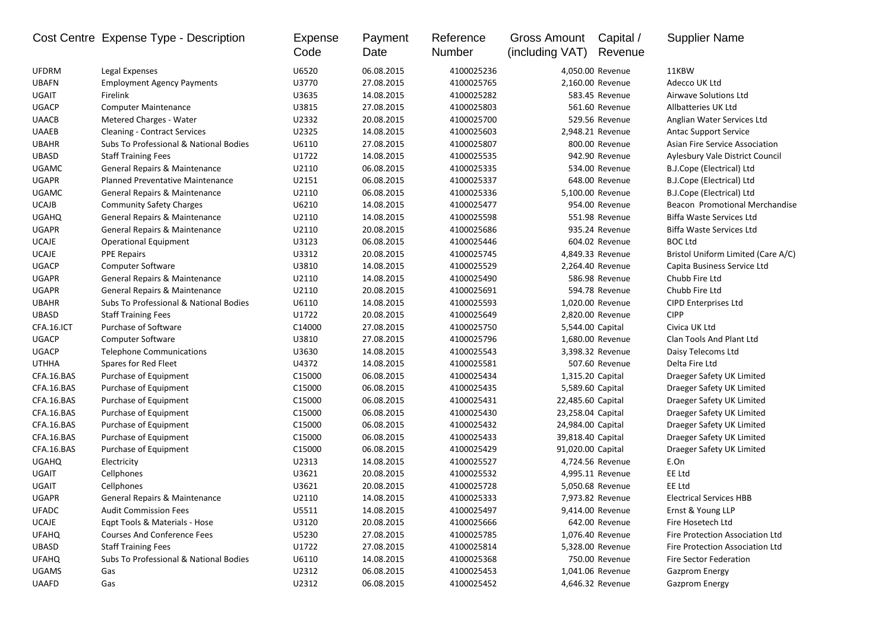|              | Cost Centre Expense Type - Description   | Expense<br>Code | Payment<br>Date | Reference<br>Number | Gross Amount<br>(including VAT) | Capital /<br>Revenue | <b>Supplier Name</b>               |
|--------------|------------------------------------------|-----------------|-----------------|---------------------|---------------------------------|----------------------|------------------------------------|
| <b>UFDRM</b> | Legal Expenses                           | U6520           | 06.08.2015      | 4100025236          |                                 | 4,050.00 Revenue     | 11KBW                              |
| <b>UBAFN</b> | <b>Employment Agency Payments</b>        | U3770           | 27.08.2015      | 4100025765          |                                 | 2,160.00 Revenue     | Adecco UK Ltd                      |
| <b>UGAIT</b> | Firelink                                 | U3635           | 14.08.2015      | 4100025282          |                                 | 583.45 Revenue       | Airwave Solutions Ltd              |
| <b>UGACP</b> | <b>Computer Maintenance</b>              | U3815           | 27.08.2015      | 4100025803          |                                 | 561.60 Revenue       | Allbatteries UK Ltd                |
| <b>UAACB</b> | Metered Charges - Water                  | U2332           | 20.08.2015      | 4100025700          |                                 | 529.56 Revenue       | Anglian Water Services Ltd         |
| <b>UAAEB</b> | <b>Cleaning - Contract Services</b>      | U2325           | 14.08.2015      | 4100025603          |                                 | 2,948.21 Revenue     | <b>Antac Support Service</b>       |
| <b>UBAHR</b> | Subs To Professional & National Bodies   | U6110           | 27.08.2015      | 4100025807          |                                 | 800.00 Revenue       | Asian Fire Service Association     |
| <b>UBASD</b> | <b>Staff Training Fees</b>               | U1722           | 14.08.2015      | 4100025535          |                                 | 942.90 Revenue       | Aylesbury Vale District Council    |
| UGAMC        | <b>General Repairs &amp; Maintenance</b> | U2110           | 06.08.2015      | 4100025335          |                                 | 534.00 Revenue       | B.J.Cope (Electrical) Ltd          |
| <b>UGAPR</b> | <b>Planned Preventative Maintenance</b>  | U2151           | 06.08.2015      | 4100025337          |                                 | 648.00 Revenue       | B.J.Cope (Electrical) Ltd          |
| <b>UGAMC</b> | General Repairs & Maintenance            | U2110           | 06.08.2015      | 4100025336          |                                 | 5,100.00 Revenue     | B.J.Cope (Electrical) Ltd          |
| <b>UCAJB</b> | <b>Community Safety Charges</b>          | U6210           | 14.08.2015      | 4100025477          |                                 | 954.00 Revenue       | Beacon Promotional Merchandise     |
| <b>UGAHQ</b> | General Repairs & Maintenance            | U2110           | 14.08.2015      | 4100025598          |                                 | 551.98 Revenue       | Biffa Waste Services Ltd           |
| <b>UGAPR</b> | General Repairs & Maintenance            | U2110           | 20.08.2015      | 4100025686          |                                 | 935.24 Revenue       | Biffa Waste Services Ltd           |
| <b>UCAJE</b> | <b>Operational Equipment</b>             | U3123           | 06.08.2015      | 4100025446          |                                 | 604.02 Revenue       | <b>BOC Ltd</b>                     |
| <b>UCAJE</b> | <b>PPE Repairs</b>                       | U3312           | 20.08.2015      | 4100025745          |                                 | 4,849.33 Revenue     | Bristol Uniform Limited (Care A/C) |
| <b>UGACP</b> | <b>Computer Software</b>                 | U3810           | 14.08.2015      | 4100025529          |                                 | 2,264.40 Revenue     | Capita Business Service Ltd        |
| <b>UGAPR</b> | General Repairs & Maintenance            | U2110           | 14.08.2015      | 4100025490          |                                 | 586.98 Revenue       | Chubb Fire Ltd                     |
| <b>UGAPR</b> | <b>General Repairs &amp; Maintenance</b> | U2110           | 20.08.2015      | 4100025691          |                                 | 594.78 Revenue       | Chubb Fire Ltd                     |
| <b>UBAHR</b> | Subs To Professional & National Bodies   | U6110           | 14.08.2015      | 4100025593          |                                 | 1,020.00 Revenue     | <b>CIPD Enterprises Ltd</b>        |
| <b>UBASD</b> | <b>Staff Training Fees</b>               | U1722           | 20.08.2015      | 4100025649          |                                 | 2,820.00 Revenue     | <b>CIPP</b>                        |
| CFA.16.ICT   | Purchase of Software                     | C14000          | 27.08.2015      | 4100025750          | 5,544.00 Capital                |                      | Civica UK Ltd                      |
| <b>UGACP</b> | <b>Computer Software</b>                 | U3810           | 27.08.2015      | 4100025796          |                                 | 1,680.00 Revenue     | Clan Tools And Plant Ltd           |
| <b>UGACP</b> | <b>Telephone Communications</b>          | U3630           | 14.08.2015      | 4100025543          |                                 | 3,398.32 Revenue     | Daisy Telecoms Ltd                 |
| <b>UTHHA</b> | Spares for Red Fleet                     | U4372           | 14.08.2015      | 4100025581          |                                 | 507.60 Revenue       | Delta Fire Ltd                     |
| CFA.16.BAS   | Purchase of Equipment                    | C15000          | 06.08.2015      | 4100025434          | 1,315.20 Capital                |                      | Draeger Safety UK Limited          |
| CFA.16.BAS   | Purchase of Equipment                    | C15000          | 06.08.2015      | 4100025435          | 5,589.60 Capital                |                      | Draeger Safety UK Limited          |
| CFA.16.BAS   | Purchase of Equipment                    | C15000          | 06.08.2015      | 4100025431          | 22,485.60 Capital               |                      | Draeger Safety UK Limited          |
| CFA.16.BAS   | Purchase of Equipment                    | C15000          | 06.08.2015      | 4100025430          | 23,258.04 Capital               |                      | Draeger Safety UK Limited          |
| CFA.16.BAS   | Purchase of Equipment                    | C15000          | 06.08.2015      | 4100025432          | 24,984.00 Capital               |                      | Draeger Safety UK Limited          |
| CFA.16.BAS   | Purchase of Equipment                    | C15000          | 06.08.2015      | 4100025433          | 39,818.40 Capital               |                      | Draeger Safety UK Limited          |
| CFA.16.BAS   | Purchase of Equipment                    | C15000          | 06.08.2015      | 4100025429          | 91,020.00 Capital               |                      | Draeger Safety UK Limited          |
| <b>UGAHQ</b> | Electricity                              | U2313           | 14.08.2015      | 4100025527          |                                 | 4,724.56 Revenue     | E.On                               |
| UGAIT        | Cellphones                               | U3621           | 20.08.2015      | 4100025532          |                                 | 4,995.11 Revenue     | EE Ltd                             |
| <b>UGAIT</b> | Cellphones                               | U3621           | 20.08.2015      | 4100025728          |                                 | 5,050.68 Revenue     | EE Ltd                             |
| <b>UGAPR</b> | <b>General Repairs &amp; Maintenance</b> | U2110           | 14.08.2015      | 4100025333          |                                 | 7.973.82 Revenue     | <b>Electrical Services HBB</b>     |
| <b>UFADC</b> | <b>Audit Commission Fees</b>             | U5511           | 14.08.2015      | 4100025497          |                                 | 9,414.00 Revenue     | Ernst & Young LLP                  |
| <b>UCAJE</b> | Egpt Tools & Materials - Hose            | U3120           | 20.08.2015      | 4100025666          |                                 | 642.00 Revenue       | Fire Hosetech Ltd                  |
| <b>UFAHQ</b> | <b>Courses And Conference Fees</b>       | U5230           | 27.08.2015      | 4100025785          |                                 | 1,076.40 Revenue     | Fire Protection Association Ltd    |
| <b>UBASD</b> | <b>Staff Training Fees</b>               | U1722           | 27.08.2015      | 4100025814          |                                 | 5,328.00 Revenue     | Fire Protection Association Ltd    |
| <b>UFAHQ</b> | Subs To Professional & National Bodies   | U6110           | 14.08.2015      | 4100025368          |                                 | 750.00 Revenue       | Fire Sector Federation             |
| <b>UGAMS</b> | Gas                                      | U2312           | 06.08.2015      | 4100025453          |                                 | 1,041.06 Revenue     | <b>Gazprom Energy</b>              |
| <b>UAAFD</b> | Gas                                      | U2312           | 06.08.2015      | 4100025452          |                                 | 4,646.32 Revenue     | <b>Gazprom Energy</b>              |
|              |                                          |                 |                 |                     |                                 |                      |                                    |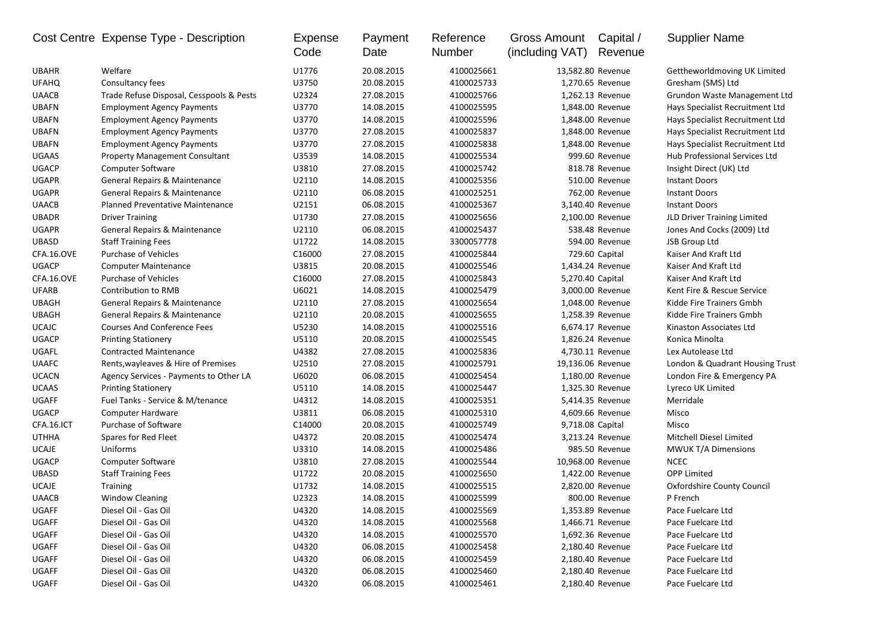|              | Cost Centre Expense Type - Description   | Expense<br>Code | Payment<br>Date | Reference<br>Number | Gross Amount<br>(including VAT) | Capital /<br>Revenue | <b>Supplier Name</b>            |
|--------------|------------------------------------------|-----------------|-----------------|---------------------|---------------------------------|----------------------|---------------------------------|
| <b>UBAHR</b> | Welfare                                  | U1776           | 20.08.2015      | 4100025661          | 13,582.80 Revenue               |                      | Gettheworldmoving UK Limited    |
| <b>UFAHQ</b> | Consultancy fees                         | U3750           | 20.08.2015      | 4100025733          |                                 | 1,270.65 Revenue     | Gresham (SMS) Ltd               |
| <b>UAACB</b> | Trade Refuse Disposal, Cesspools & Pests | U2324           | 27.08.2015      | 4100025766          |                                 | 1,262.13 Revenue     | Grundon Waste Management Ltd    |
| <b>UBAFN</b> | <b>Employment Agency Payments</b>        | U3770           | 14.08.2015      | 4100025595          |                                 | 1,848.00 Revenue     | Hays Specialist Recruitment Ltd |
| <b>UBAFN</b> | <b>Employment Agency Payments</b>        | U3770           | 14.08.2015      | 4100025596          |                                 | 1,848.00 Revenue     | Hays Specialist Recruitment Ltd |
| <b>UBAFN</b> | <b>Employment Agency Payments</b>        | U3770           | 27.08.2015      | 4100025837          |                                 | 1,848.00 Revenue     | Hays Specialist Recruitment Ltd |
| <b>UBAFN</b> | <b>Employment Agency Payments</b>        | U3770           | 27.08.2015      | 4100025838          |                                 | 1,848.00 Revenue     | Hays Specialist Recruitment Ltd |
| <b>UGAAS</b> | <b>Property Management Consultant</b>    | U3539           | 14.08.2015      | 4100025534          |                                 | 999.60 Revenue       | Hub Professional Services Ltd   |
| <b>UGACP</b> | <b>Computer Software</b>                 | U3810           | 27.08.2015      | 4100025742          |                                 | 818.78 Revenue       | Insight Direct (UK) Ltd         |
| <b>UGAPR</b> | General Repairs & Maintenance            | U2110           | 14.08.2015      | 4100025356          |                                 | 510.00 Revenue       | <b>Instant Doors</b>            |
| <b>UGAPR</b> | General Repairs & Maintenance            | U2110           | 06.08.2015      | 4100025251          |                                 | 762.00 Revenue       | <b>Instant Doors</b>            |
| <b>UAACB</b> | Planned Preventative Maintenance         | U2151           | 06.08.2015      | 4100025367          |                                 | 3,140.40 Revenue     | <b>Instant Doors</b>            |
| <b>UBADR</b> | <b>Driver Training</b>                   | U1730           | 27.08.2015      | 4100025656          |                                 | 2,100.00 Revenue     | JLD Driver Training Limited     |
| <b>UGAPR</b> | General Repairs & Maintenance            | U2110           | 06.08.2015      | 4100025437          |                                 | 538.48 Revenue       | Jones And Cocks (2009) Ltd      |
| <b>UBASD</b> | <b>Staff Training Fees</b>               | U1722           | 14.08.2015      | 3300057778          |                                 | 594.00 Revenue       | JSB Group Ltd                   |
| CFA.16.OVE   | Purchase of Vehicles                     | C16000          | 27.08.2015      | 4100025844          |                                 | 729.60 Capital       | Kaiser And Kraft Ltd            |
| <b>UGACP</b> | <b>Computer Maintenance</b>              | U3815           | 20.08.2015      | 4100025546          |                                 | 1,434.24 Revenue     | Kaiser And Kraft Ltd            |
| CFA.16.OVE   | <b>Purchase of Vehicles</b>              | C16000          | 27.08.2015      | 4100025843          | 5,270.40 Capital                |                      | Kaiser And Kraft Ltd            |
| <b>UFARB</b> | Contribution to RMB                      | U6021           | 14.08.2015      | 4100025479          |                                 | 3,000.00 Revenue     | Kent Fire & Rescue Service      |
| <b>UBAGH</b> | General Repairs & Maintenance            | U2110           | 27.08.2015      | 4100025654          |                                 | 1,048.00 Revenue     | Kidde Fire Trainers Gmbh        |
| <b>UBAGH</b> | General Repairs & Maintenance            | U2110           | 20.08.2015      | 4100025655          |                                 | 1,258.39 Revenue     | Kidde Fire Trainers Gmbh        |
| <b>UCAJC</b> | <b>Courses And Conference Fees</b>       | U5230           | 14.08.2015      | 4100025516          |                                 | 6,674.17 Revenue     | Kinaston Associates Ltd         |
| <b>UGACP</b> | <b>Printing Stationery</b>               | U5110           | 20.08.2015      | 4100025545          |                                 | 1,826.24 Revenue     | Konica Minolta                  |
| UGAFL        | <b>Contracted Maintenance</b>            | U4382           | 27.08.2015      | 4100025836          |                                 | 4,730.11 Revenue     | Lex Autolease Ltd               |
| <b>UAAFC</b> | Rents, wayleaves & Hire of Premises      | U2510           | 27.08.2015      | 4100025791          | 19,136.06 Revenue               |                      | London & Quadrant Housing Trust |
| <b>UCACN</b> | Agency Services - Payments to Other LA   | U6020           | 06.08.2015      | 4100025454          |                                 | 1,180.00 Revenue     | London Fire & Emergency PA      |
| <b>UCAAS</b> | <b>Printing Stationery</b>               | U5110           | 14.08.2015      | 4100025447          |                                 | 1,325.30 Revenue     | Lyreco UK Limited               |
| UGAFF        | Fuel Tanks - Service & M/tenance         | U4312           | 14.08.2015      | 4100025351          |                                 | 5,414.35 Revenue     | Merridale                       |
| <b>UGACP</b> | Computer Hardware                        | U3811           | 06.08.2015      | 4100025310          |                                 | 4,609.66 Revenue     | Misco                           |
| CFA.16.ICT   | Purchase of Software                     | C14000          | 20.08.2015      | 4100025749          | 9,718.08 Capital                |                      | Misco                           |
| <b>UTHHA</b> | Spares for Red Fleet                     | U4372           | 20.08.2015      | 4100025474          |                                 | 3,213.24 Revenue     | Mitchell Diesel Limited         |
| <b>UCAJE</b> | Uniforms                                 | U3310           | 14.08.2015      | 4100025486          |                                 | 985.50 Revenue       | <b>MWUK T/A Dimensions</b>      |
| <b>UGACP</b> | Computer Software                        | U3810           | 27.08.2015      | 4100025544          | 10,968.00 Revenue               |                      | <b>NCEC</b>                     |
| <b>UBASD</b> | <b>Staff Training Fees</b>               | U1722           | 20.08.2015      | 4100025650          |                                 | 1,422.00 Revenue     | <b>OPP Limited</b>              |
| <b>UCAJE</b> | Training                                 | U1732           | 14.08.2015      | 4100025515          |                                 | 2,820.00 Revenue     | Oxfordshire County Council      |
| <b>UAACB</b> | <b>Window Cleaning</b>                   | U2323           | 14.08.2015      | 4100025599          |                                 | 800.00 Revenue       | P French                        |
| UGAFF        | Diesel Oil - Gas Oil                     | U4320           | 14.08.2015      | 4100025569          |                                 | 1,353.89 Revenue     | Pace Fuelcare Ltd               |
| UGAFF        | Diesel Oil - Gas Oil                     | U4320           | 14.08.2015      | 4100025568          |                                 | 1,466.71 Revenue     | Pace Fuelcare Ltd               |
| UGAFF        | Diesel Oil - Gas Oil                     | U4320           | 14.08.2015      | 4100025570          |                                 | 1,692.36 Revenue     | Pace Fuelcare Ltd               |
| UGAFF        | Diesel Oil - Gas Oil                     | U4320           | 06.08.2015      | 4100025458          |                                 | 2,180.40 Revenue     | Pace Fuelcare Ltd               |
| UGAFF        | Diesel Oil - Gas Oil                     | U4320           | 06.08.2015      | 4100025459          |                                 | 2,180.40 Revenue     | Pace Fuelcare Ltd               |
| UGAFF        | Diesel Oil - Gas Oil                     | U4320           | 06.08.2015      | 4100025460          |                                 | 2,180.40 Revenue     | Pace Fuelcare Ltd               |
| UGAFF        | Diesel Oil - Gas Oil                     | U4320           | 06.08.2015      | 4100025461          |                                 | 2,180.40 Revenue     | Pace Fuelcare Ltd               |
|              |                                          |                 |                 |                     |                                 |                      |                                 |